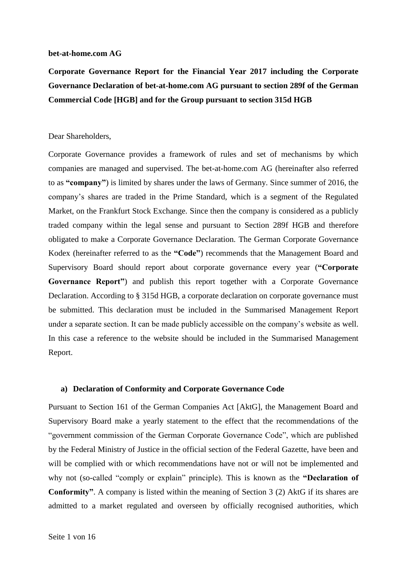#### **bet-at-home.com AG**

**Corporate Governance Report for the Financial Year 2017 including the Corporate Governance Declaration of bet-at-home.com AG pursuant to section 289f of the German Commercial Code [HGB] and for the Group pursuant to section 315d HGB**

#### Dear Shareholders,

Corporate Governance provides a framework of rules and set of mechanisms by which companies are managed and supervised. The bet-at-home.com AG (hereinafter also referred to as **"company"**) is limited by shares under the laws of Germany. Since summer of 2016, the company's shares are traded in the Prime Standard, which is a segment of the Regulated Market, on the Frankfurt Stock Exchange. Since then the company is considered as a publicly traded company within the legal sense and pursuant to Section 289f HGB and therefore obligated to make a Corporate Governance Declaration. The German Corporate Governance Kodex (hereinafter referred to as the **"Code"**) recommends that the Management Board and Supervisory Board should report about corporate governance every year (**"Corporate Governance Report"**) and publish this report together with a Corporate Governance Declaration. According to § 315d HGB, a corporate declaration on corporate governance must be submitted. This declaration must be included in the Summarised Management Report under a separate section. It can be made publicly accessible on the company's website as well. In this case a reference to the website should be included in the Summarised Management Report.

#### **a) Declaration of Conformity and Corporate Governance Code**

Pursuant to Section 161 of the German Companies Act [AktG], the Management Board and Supervisory Board make a yearly statement to the effect that the recommendations of the "government commission of the German Corporate Governance Code", which are published by the Federal Ministry of Justice in the official section of the Federal Gazette, have been and will be complied with or which recommendations have not or will not be implemented and why not (so-called "comply or explain" principle). This is known as the **"Declaration of Conformity"**. A company is listed within the meaning of Section 3 (2) AktG if its shares are admitted to a market regulated and overseen by officially recognised authorities, which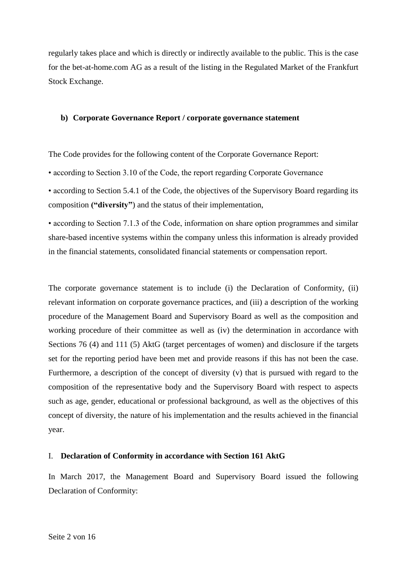regularly takes place and which is directly or indirectly available to the public. This is the case for the bet-at-home.com AG as a result of the listing in the Regulated Market of the Frankfurt Stock Exchange.

## **b) Corporate Governance Report / corporate governance statement**

The Code provides for the following content of the Corporate Governance Report:

• according to Section 3.10 of the Code, the report regarding Corporate Governance

• according to Section 5.4.1 of the Code, the objectives of the Supervisory Board regarding its composition **("diversity"**) and the status of their implementation,

• according to Section 7.1.3 of the Code, information on share option programmes and similar share-based incentive systems within the company unless this information is already provided in the financial statements, consolidated financial statements or compensation report.

The corporate governance statement is to include (i) the Declaration of Conformity, (ii) relevant information on corporate governance practices, and (iii) a description of the working procedure of the Management Board and Supervisory Board as well as the composition and working procedure of their committee as well as (iv) the determination in accordance with Sections 76 (4) and 111 (5) AktG (target percentages of women) and disclosure if the targets set for the reporting period have been met and provide reasons if this has not been the case. Furthermore, a description of the concept of diversity (v) that is pursued with regard to the composition of the representative body and the Supervisory Board with respect to aspects such as age, gender, educational or professional background, as well as the objectives of this concept of diversity, the nature of his implementation and the results achieved in the financial year.

#### I. **Declaration of Conformity in accordance with Section 161 AktG**

In March 2017, the Management Board and Supervisory Board issued the following Declaration of Conformity: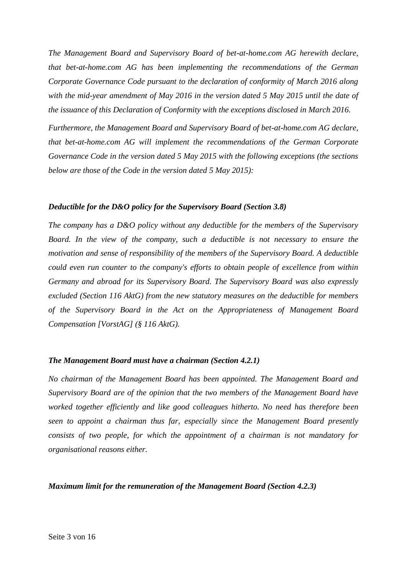*The Management Board and Supervisory Board of bet-at-home.com AG herewith declare, that bet-at-home.com AG has been implementing the recommendations of the German Corporate Governance Code pursuant to the declaration of conformity of March 2016 along with the mid-year amendment of May 2016 in the version dated 5 May 2015 until the date of the issuance of this Declaration of Conformity with the exceptions disclosed in March 2016.*

*Furthermore, the Management Board and Supervisory Board of bet-at-home.com AG declare, that bet-at-home.com AG will implement the recommendations of the German Corporate Governance Code in the version dated 5 May 2015 with the following exceptions (the sections below are those of the Code in the version dated 5 May 2015):*

#### *Deductible for the D&O policy for the Supervisory Board (Section 3.8)*

*The company has a D&O policy without any deductible for the members of the Supervisory Board. In the view of the company, such a deductible is not necessary to ensure the motivation and sense of responsibility of the members of the Supervisory Board. A deductible could even run counter to the company's efforts to obtain people of excellence from within Germany and abroad for its Supervisory Board. The Supervisory Board was also expressly excluded (Section 116 AktG) from the new statutory measures on the deductible for members of the Supervisory Board in the Act on the Appropriateness of Management Board Compensation [VorstAG] (§ 116 AktG).*

#### *The Management Board must have a chairman (Section 4.2.1)*

*No chairman of the Management Board has been appointed. The Management Board and Supervisory Board are of the opinion that the two members of the Management Board have worked together efficiently and like good colleagues hitherto. No need has therefore been seen to appoint a chairman thus far, especially since the Management Board presently consists of two people, for which the appointment of a chairman is not mandatory for organisational reasons either.*

*Maximum limit for the remuneration of the Management Board (Section 4.2.3)*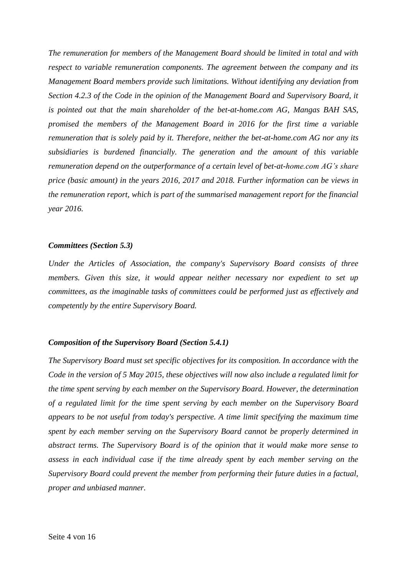*The remuneration for members of the Management Board should be limited in total and with respect to variable remuneration components. The agreement between the company and its Management Board members provide such limitations. Without identifying any deviation from Section 4.2.3 of the Code in the opinion of the Management Board and Supervisory Board, it is pointed out that the main shareholder of the bet-at-home.com AG, Mangas BAH SAS, promised the members of the Management Board in 2016 for the first time a variable remuneration that is solely paid by it. Therefore, neither the bet-at-home.com AG nor any its subsidiaries is burdened financially. The generation and the amount of this variable remuneration depend on the outperformance of a certain level of bet-at-home.com AG's share price (basic amount) in the years 2016, 2017 and 2018. Further information can be views in the remuneration report, which is part of the summarised management report for the financial year 2016.*

## *Committees (Section 5.3)*

*Under the Articles of Association, the company's Supervisory Board consists of three members. Given this size, it would appear neither necessary nor expedient to set up committees, as the imaginable tasks of committees could be performed just as effectively and competently by the entire Supervisory Board.*

## *Composition of the Supervisory Board (Section 5.4.1)*

*The Supervisory Board must set specific objectives for its composition. In accordance with the Code in the version of 5 May 2015, these objectives will now also include a regulated limit for the time spent serving by each member on the Supervisory Board. However, the determination of a regulated limit for the time spent serving by each member on the Supervisory Board appears to be not useful from today's perspective. A time limit specifying the maximum time spent by each member serving on the Supervisory Board cannot be properly determined in abstract terms. The Supervisory Board is of the opinion that it would make more sense to assess in each individual case if the time already spent by each member serving on the Supervisory Board could prevent the member from performing their future duties in a factual, proper and unbiased manner.*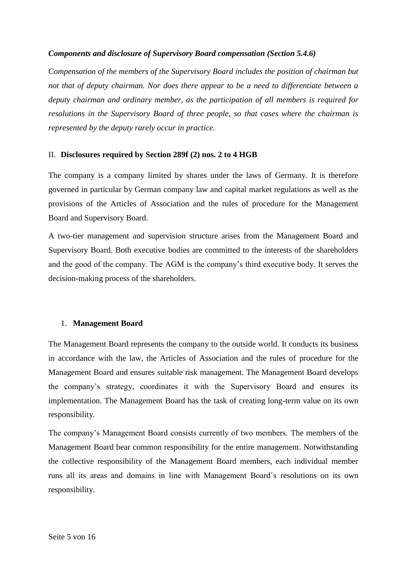# *Components and disclosure of Supervisory Board compensation (Section 5.4.6)*

*Compensation of the members of the Supervisory Board includes the position of chairman but not that of deputy chairman. Nor does there appear to be a need to differentiate between a deputy chairman and ordinary member, as the participation of all members is required for resolutions in the Supervisory Board of three people, so that cases where the chairman is represented by the deputy rarely occur in practice.*

## II. **Disclosures required by Section 289f (2) nos. 2 to 4 HGB**

The company is a company limited by shares under the laws of Germany. It is therefore governed in particular by German company law and capital market regulations as well as the provisions of the Articles of Association and the rules of procedure for the Management Board and Supervisory Board.

A two-tier management and supervision structure arises from the Management Board and Supervisory Board. Both executive bodies are committed to the interests of the shareholders and the good of the company. The AGM is the company's third executive body. It serves the decision-making process of the shareholders.

## 1. **Management Board**

The Management Board represents the company to the outside world. It conducts its business in accordance with the law, the Articles of Association and the rules of procedure for the Management Board and ensures suitable risk management. The Management Board develops the company's strategy, coordinates it with the Supervisory Board and ensures its implementation. The Management Board has the task of creating long-term value on its own responsibility.

The company's Management Board consists currently of two members. The members of the Management Board bear common responsibility for the entire management. Notwithstanding the collective responsibility of the Management Board members, each individual member runs all its areas and domains in line with Management Board's resolutions on its own responsibility.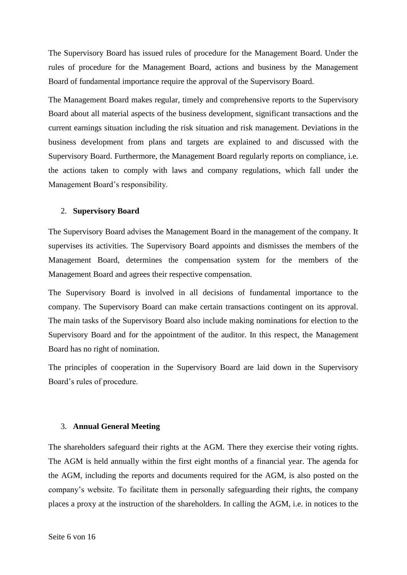The Supervisory Board has issued rules of procedure for the Management Board. Under the rules of procedure for the Management Board, actions and business by the Management Board of fundamental importance require the approval of the Supervisory Board.

The Management Board makes regular, timely and comprehensive reports to the Supervisory Board about all material aspects of the business development, significant transactions and the current earnings situation including the risk situation and risk management. Deviations in the business development from plans and targets are explained to and discussed with the Supervisory Board. Furthermore, the Management Board regularly reports on compliance, i.e. the actions taken to comply with laws and company regulations, which fall under the Management Board's responsibility.

### 2. **Supervisory Board**

The Supervisory Board advises the Management Board in the management of the company. It supervises its activities. The Supervisory Board appoints and dismisses the members of the Management Board, determines the compensation system for the members of the Management Board and agrees their respective compensation.

The Supervisory Board is involved in all decisions of fundamental importance to the company. The Supervisory Board can make certain transactions contingent on its approval. The main tasks of the Supervisory Board also include making nominations for election to the Supervisory Board and for the appointment of the auditor. In this respect, the Management Board has no right of nomination.

The principles of cooperation in the Supervisory Board are laid down in the Supervisory Board's rules of procedure.

#### 3. **Annual General Meeting**

The shareholders safeguard their rights at the AGM. There they exercise their voting rights. The AGM is held annually within the first eight months of a financial year. The agenda for the AGM, including the reports and documents required for the AGM, is also posted on the company's website. To facilitate them in personally safeguarding their rights, the company places a proxy at the instruction of the shareholders. In calling the AGM, i.e. in notices to the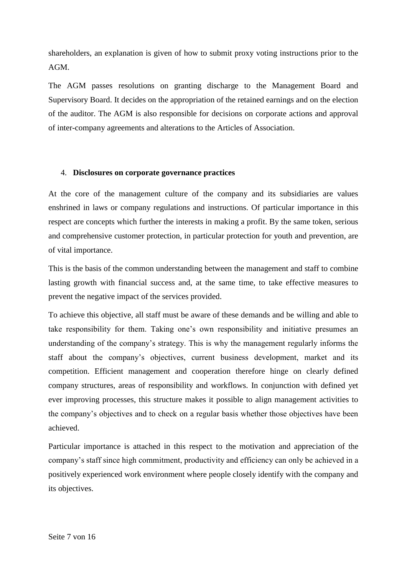shareholders, an explanation is given of how to submit proxy voting instructions prior to the AGM.

The AGM passes resolutions on granting discharge to the Management Board and Supervisory Board. It decides on the appropriation of the retained earnings and on the election of the auditor. The AGM is also responsible for decisions on corporate actions and approval of inter-company agreements and alterations to the Articles of Association.

### 4. **Disclosures on corporate governance practices**

At the core of the management culture of the company and its subsidiaries are values enshrined in laws or company regulations and instructions. Of particular importance in this respect are concepts which further the interests in making a profit. By the same token, serious and comprehensive customer protection, in particular protection for youth and prevention, are of vital importance.

This is the basis of the common understanding between the management and staff to combine lasting growth with financial success and, at the same time, to take effective measures to prevent the negative impact of the services provided.

To achieve this objective, all staff must be aware of these demands and be willing and able to take responsibility for them. Taking one's own responsibility and initiative presumes an understanding of the company's strategy. This is why the management regularly informs the staff about the company's objectives, current business development, market and its competition. Efficient management and cooperation therefore hinge on clearly defined company structures, areas of responsibility and workflows. In conjunction with defined yet ever improving processes, this structure makes it possible to align management activities to the company's objectives and to check on a regular basis whether those objectives have been achieved.

Particular importance is attached in this respect to the motivation and appreciation of the company's staff since high commitment, productivity and efficiency can only be achieved in a positively experienced work environment where people closely identify with the company and its objectives.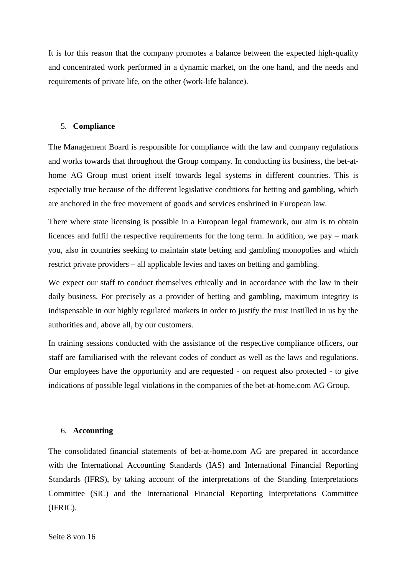It is for this reason that the company promotes a balance between the expected high-quality and concentrated work performed in a dynamic market, on the one hand, and the needs and requirements of private life, on the other (work-life balance).

#### 5. **Compliance**

The Management Board is responsible for compliance with the law and company regulations and works towards that throughout the Group company. In conducting its business, the bet-athome AG Group must orient itself towards legal systems in different countries. This is especially true because of the different legislative conditions for betting and gambling, which are anchored in the free movement of goods and services enshrined in European law.

There where state licensing is possible in a European legal framework, our aim is to obtain licences and fulfil the respective requirements for the long term. In addition, we pay – mark you, also in countries seeking to maintain state betting and gambling monopolies and which restrict private providers – all applicable levies and taxes on betting and gambling.

We expect our staff to conduct themselves ethically and in accordance with the law in their daily business. For precisely as a provider of betting and gambling, maximum integrity is indispensable in our highly regulated markets in order to justify the trust instilled in us by the authorities and, above all, by our customers.

In training sessions conducted with the assistance of the respective compliance officers, our staff are familiarised with the relevant codes of conduct as well as the laws and regulations. Our employees have the opportunity and are requested - on request also protected - to give indications of possible legal violations in the companies of the bet-at-home.com AG Group.

#### 6. **Accounting**

The consolidated financial statements of bet-at-home.com AG are prepared in accordance with the International Accounting Standards (IAS) and International Financial Reporting Standards (IFRS), by taking account of the interpretations of the Standing Interpretations Committee (SIC) and the International Financial Reporting Interpretations Committee (IFRIC).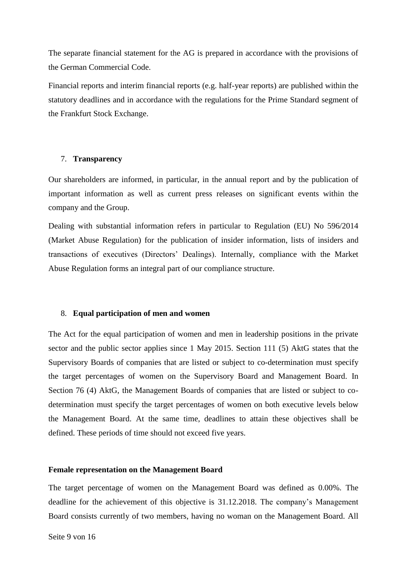The separate financial statement for the AG is prepared in accordance with the provisions of the German Commercial Code.

Financial reports and interim financial reports (e.g. half-year reports) are published within the statutory deadlines and in accordance with the regulations for the Prime Standard segment of the Frankfurt Stock Exchange.

#### 7. **Transparency**

Our shareholders are informed, in particular, in the annual report and by the publication of important information as well as current press releases on significant events within the company and the Group.

Dealing with substantial information refers in particular to Regulation (EU) No 596/2014 (Market Abuse Regulation) for the publication of insider information, lists of insiders and transactions of executives (Directors' Dealings). Internally, compliance with the Market Abuse Regulation forms an integral part of our compliance structure.

#### 8. **Equal participation of men and women**

The Act for the equal participation of women and men in leadership positions in the private sector and the public sector applies since 1 May 2015. Section 111 (5) AktG states that the Supervisory Boards of companies that are listed or subject to co-determination must specify the target percentages of women on the Supervisory Board and Management Board. In Section 76 (4) AktG, the Management Boards of companies that are listed or subject to codetermination must specify the target percentages of women on both executive levels below the Management Board. At the same time, deadlines to attain these objectives shall be defined. These periods of time should not exceed five years.

#### **Female representation on the Management Board**

The target percentage of women on the Management Board was defined as 0.00%. The deadline for the achievement of this objective is 31.12.2018. The company's Management Board consists currently of two members, having no woman on the Management Board. All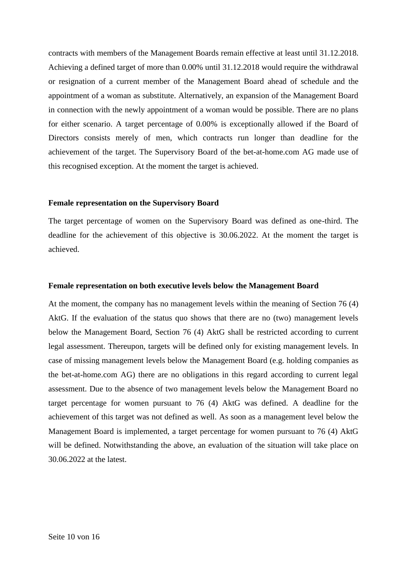contracts with members of the Management Boards remain effective at least until 31.12.2018. Achieving a defined target of more than 0.00% until 31.12.2018 would require the withdrawal or resignation of a current member of the Management Board ahead of schedule and the appointment of a woman as substitute. Alternatively, an expansion of the Management Board in connection with the newly appointment of a woman would be possible. There are no plans for either scenario. A target percentage of 0.00% is exceptionally allowed if the Board of Directors consists merely of men, which contracts run longer than deadline for the achievement of the target. The Supervisory Board of the bet-at-home.com AG made use of this recognised exception. At the moment the target is achieved.

#### **Female representation on the Supervisory Board**

The target percentage of women on the Supervisory Board was defined as one-third. The deadline for the achievement of this objective is 30.06.2022. At the moment the target is achieved.

#### **Female representation on both executive levels below the Management Board**

At the moment, the company has no management levels within the meaning of Section 76 (4) AktG. If the evaluation of the status quo shows that there are no (two) management levels below the Management Board, Section 76 (4) AktG shall be restricted according to current legal assessment. Thereupon, targets will be defined only for existing management levels. In case of missing management levels below the Management Board (e.g. holding companies as the bet-at-home.com AG) there are no obligations in this regard according to current legal assessment. Due to the absence of two management levels below the Management Board no target percentage for women pursuant to 76 (4) AktG was defined. A deadline for the achievement of this target was not defined as well. As soon as a management level below the Management Board is implemented, a target percentage for women pursuant to 76 (4) AktG will be defined. Notwithstanding the above, an evaluation of the situation will take place on 30.06.2022 at the latest.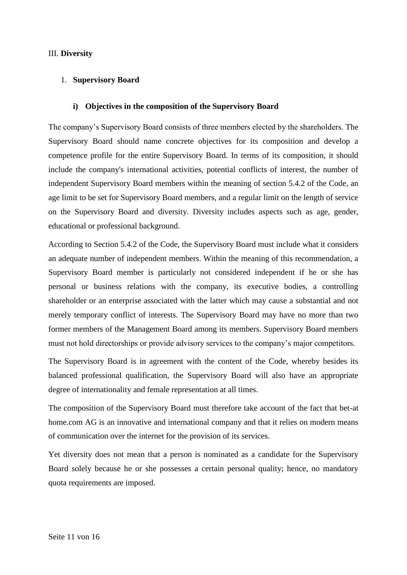## III. **Diversity**

## 1. **Supervisory Board**

### **i) Objectives in the composition of the Supervisory Board**

The company's Supervisory Board consists of three members elected by the shareholders. The Supervisory Board should name concrete objectives for its composition and develop a competence profile for the entire Supervisory Board. In terms of its composition, it should include the company's international activities, potential conflicts of interest, the number of independent Supervisory Board members within the meaning of section 5.4.2 of the Code, an age limit to be set for Supervisory Board members, and a regular limit on the length of service on the Supervisory Board and diversity. Diversity includes aspects such as age, gender, educational or professional background.

According to Section 5.4.2 of the Code, the Supervisory Board must include what it considers an adequate number of independent members. Within the meaning of this recommendation, a Supervisory Board member is particularly not considered independent if he or she has personal or business relations with the company, its executive bodies, a controlling shareholder or an enterprise associated with the latter which may cause a substantial and not merely temporary conflict of interests. The Supervisory Board may have no more than two former members of the Management Board among its members. Supervisory Board members must not hold directorships or provide advisory services to the company's major competitors.

The Supervisory Board is in agreement with the content of the Code, whereby besides its balanced professional qualification, the Supervisory Board will also have an appropriate degree of internationality and female representation at all times.

The composition of the Supervisory Board must therefore take account of the fact that bet-at home.com AG is an innovative and international company and that it relies on modern means of communication over the internet for the provision of its services.

Yet diversity does not mean that a person is nominated as a candidate for the Supervisory Board solely because he or she possesses a certain personal quality; hence, no mandatory quota requirements are imposed.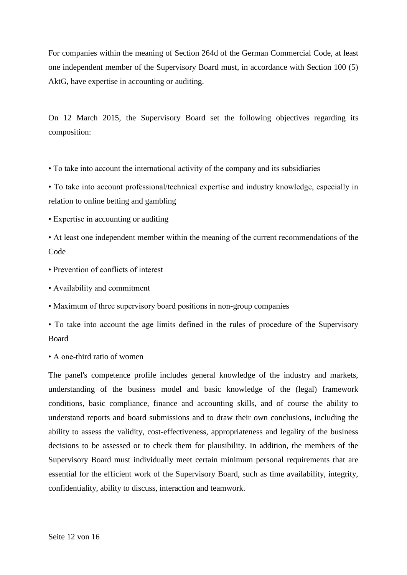For companies within the meaning of Section 264d of the German Commercial Code, at least one independent member of the Supervisory Board must, in accordance with Section 100 (5) AktG, have expertise in accounting or auditing.

On 12 March 2015, the Supervisory Board set the following objectives regarding its composition:

• To take into account the international activity of the company and its subsidiaries

• To take into account professional/technical expertise and industry knowledge, especially in relation to online betting and gambling

• Expertise in accounting or auditing

• At least one independent member within the meaning of the current recommendations of the Code

- Prevention of conflicts of interest
- Availability and commitment
- Maximum of three supervisory board positions in non-group companies

• To take into account the age limits defined in the rules of procedure of the Supervisory Board

• A one-third ratio of women

The panel's competence profile includes general knowledge of the industry and markets, understanding of the business model and basic knowledge of the (legal) framework conditions, basic compliance, finance and accounting skills, and of course the ability to understand reports and board submissions and to draw their own conclusions, including the ability to assess the validity, cost-effectiveness, appropriateness and legality of the business decisions to be assessed or to check them for plausibility. In addition, the members of the Supervisory Board must individually meet certain minimum personal requirements that are essential for the efficient work of the Supervisory Board, such as time availability, integrity, confidentiality, ability to discuss, interaction and teamwork.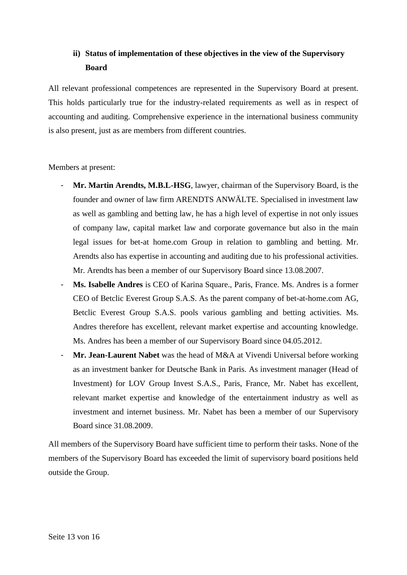# **ii) Status of implementation of these objectives in the view of the Supervisory Board**

All relevant professional competences are represented in the Supervisory Board at present. This holds particularly true for the industry-related requirements as well as in respect of accounting and auditing. Comprehensive experience in the international business community is also present, just as are members from different countries.

# Members at present:

- **Mr. Martin Arendts, M.B.L-HSG**, lawyer, chairman of the Supervisory Board, is the founder and owner of law firm ARENDTS ANWÄLTE. Specialised in investment law as well as gambling and betting law, he has a high level of expertise in not only issues of company law, capital market law and corporate governance but also in the main legal issues for bet-at home.com Group in relation to gambling and betting. Mr. Arendts also has expertise in accounting and auditing due to his professional activities. Mr. Arendts has been a member of our Supervisory Board since 13.08.2007.
- Ms. Isabelle Andres is CEO of Karina Square., Paris, France. Ms. Andres is a former CEO of Betclic Everest Group S.A.S. As the parent company of bet-at-home.com AG, Betclic Everest Group S.A.S. pools various gambling and betting activities. Ms. Andres therefore has excellent, relevant market expertise and accounting knowledge. Ms. Andres has been a member of our Supervisory Board since 04.05.2012.
- **Mr. Jean-Laurent Nabet** was the head of M&A at Vivendi Universal before working as an investment banker for Deutsche Bank in Paris. As investment manager (Head of Investment) for LOV Group Invest S.A.S., Paris, France, Mr. Nabet has excellent, relevant market expertise and knowledge of the entertainment industry as well as investment and internet business. Mr. Nabet has been a member of our Supervisory Board since 31.08.2009.

All members of the Supervisory Board have sufficient time to perform their tasks. None of the members of the Supervisory Board has exceeded the limit of supervisory board positions held outside the Group.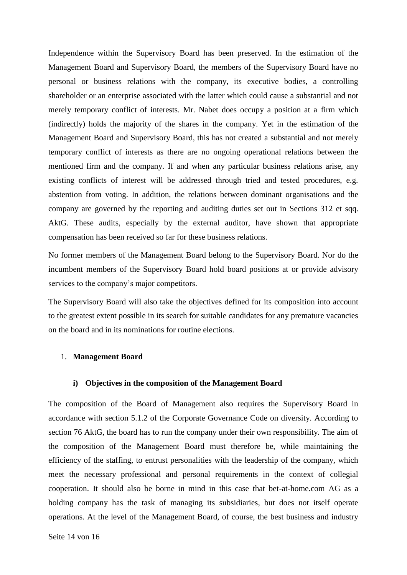Independence within the Supervisory Board has been preserved. In the estimation of the Management Board and Supervisory Board, the members of the Supervisory Board have no personal or business relations with the company, its executive bodies, a controlling shareholder or an enterprise associated with the latter which could cause a substantial and not merely temporary conflict of interests. Mr. Nabet does occupy a position at a firm which (indirectly) holds the majority of the shares in the company. Yet in the estimation of the Management Board and Supervisory Board, this has not created a substantial and not merely temporary conflict of interests as there are no ongoing operational relations between the mentioned firm and the company. If and when any particular business relations arise, any existing conflicts of interest will be addressed through tried and tested procedures, e.g. abstention from voting. In addition, the relations between dominant organisations and the company are governed by the reporting and auditing duties set out in Sections 312 et sqq. AktG. These audits, especially by the external auditor, have shown that appropriate compensation has been received so far for these business relations.

No former members of the Management Board belong to the Supervisory Board. Nor do the incumbent members of the Supervisory Board hold board positions at or provide advisory services to the company's major competitors.

The Supervisory Board will also take the objectives defined for its composition into account to the greatest extent possible in its search for suitable candidates for any premature vacancies on the board and in its nominations for routine elections.

#### 1. **Management Board**

#### **i) Objectives in the composition of the Management Board**

The composition of the Board of Management also requires the Supervisory Board in accordance with section 5.1.2 of the Corporate Governance Code on diversity. According to section 76 AktG, the board has to run the company under their own responsibility. The aim of the composition of the Management Board must therefore be, while maintaining the efficiency of the staffing, to entrust personalities with the leadership of the company, which meet the necessary professional and personal requirements in the context of collegial cooperation. It should also be borne in mind in this case that bet-at-home.com AG as a holding company has the task of managing its subsidiaries, but does not itself operate operations. At the level of the Management Board, of course, the best business and industry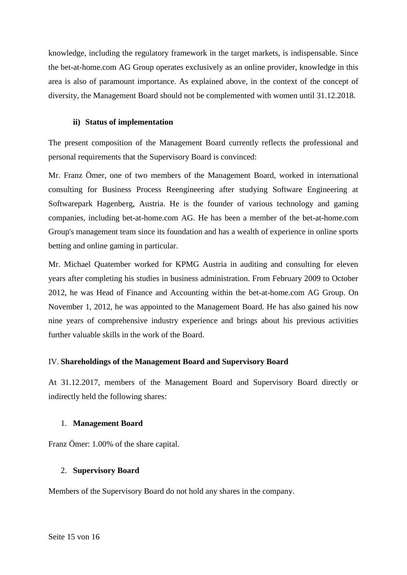knowledge, including the regulatory framework in the target markets, is indispensable. Since the bet-at-home.com AG Group operates exclusively as an online provider, knowledge in this area is also of paramount importance. As explained above, in the context of the concept of diversity, the Management Board should not be complemented with women until 31.12.2018.

## **ii) Status of implementation**

The present composition of the Management Board currently reflects the professional and personal requirements that the Supervisory Board is convinced:

Mr. Franz Ömer, one of two members of the Management Board, worked in international consulting for Business Process Reengineering after studying Software Engineering at Softwarepark Hagenberg, Austria. He is the founder of various technology and gaming companies, including bet-at-home.com AG. He has been a member of the bet-at-home.com Group's management team since its foundation and has a wealth of experience in online sports betting and online gaming in particular.

Mr. Michael Quatember worked for KPMG Austria in auditing and consulting for eleven years after completing his studies in business administration. From February 2009 to October 2012, he was Head of Finance and Accounting within the bet-at-home.com AG Group. On November 1, 2012, he was appointed to the Management Board. He has also gained his now nine years of comprehensive industry experience and brings about his previous activities further valuable skills in the work of the Board.

# IV. **Shareholdings of the Management Board and Supervisory Board**

At 31.12.2017, members of the Management Board and Supervisory Board directly or indirectly held the following shares:

## 1. **Management Board**

Franz Ömer: 1.00% of the share capital.

# 2. **Supervisory Board**

Members of the Supervisory Board do not hold any shares in the company.